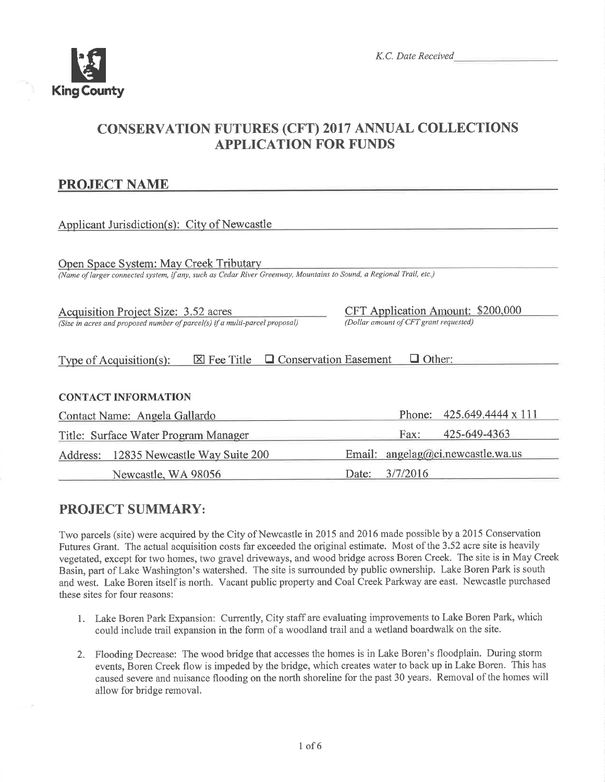

# CONSERVATION FUTURES (CFT) 2017 ANNUAL COLLECTIONS APPLICATION FOR FUNDS

## PRO.IECT NAME

| Applicant Jurisdiction(s): City of Newcastle                                                                                                                  |                                                                                    |  |  |  |  |
|---------------------------------------------------------------------------------------------------------------------------------------------------------------|------------------------------------------------------------------------------------|--|--|--|--|
| Open Space System: May Creek Tributary<br>(Name of larger connected system, if any, such as Cedar River Greenway, Mountains to Sound, a Regional Trail, etc.) |                                                                                    |  |  |  |  |
| Acquisition Project Size: 3.52 acres<br>(Size in acres and proposed number of parcel(s) if a multi-parcel proposal)                                           | <b>CFT Application Amount: \$200,000</b><br>(Dollar amount of CFT grant requested) |  |  |  |  |
| $\Box$ Other:<br>$\Box$ Conservation Easement<br>$\boxtimes$ Fee Title<br>Type of Acquisition(s):                                                             |                                                                                    |  |  |  |  |
| <b>CONTACT INFORMATION</b>                                                                                                                                    |                                                                                    |  |  |  |  |
| Contact Name: Angela Gallardo                                                                                                                                 | 425.649.4444 x 111<br>Phone:                                                       |  |  |  |  |
| Title: Surface Water Program Manager                                                                                                                          | 425-649-4363<br>Fax:                                                               |  |  |  |  |
| 12835 Newcastle Way Suite 200<br>Address:                                                                                                                     | angelag@ci.newcastle.wa.us<br>Email:                                               |  |  |  |  |
| Newcastle, WA 98056                                                                                                                                           | 3/7/2016<br>Date:                                                                  |  |  |  |  |

## PROJECT SUMMARY:

Two parcels (site) were acquired by the City of Newcastle in 2015 and 2016 made possible by a2015 Conservation Futures Grant. The actual acquisition costs far exceeded the original estimate. Most of the 3.52 acre site is heavily vegetated, except for two homes, two gravel driveways, and wood bridge across Boren Creek. The site is in May Creek Basin, part of Lake Washington's watershed. The site is surrounded by public ownership. Lake Boren Park is south and west. Lake Boren itself is north. Vacant public property and Coal Creek Parkway are east. Newcastle purchased these sites for four reasons:

- 1. Lake Boren Park Expansion: Currently, City staff are evaluating improvements to Lake Boren Park, which could include trail expansion in the form of a woodland trail and a wetland boardwalk on the site.
- 2. Flooding Decrease: The wood bridge that accesses the homes is in Lake Boren's floodplain. During storm events, Boren Creek flow is impeded by the bridge, which creates water to back up in Lake Boren. This has caused severe and nuisance flooding on the north shoreline for the past 30 years, Removal of the homes will allow for bridge removal.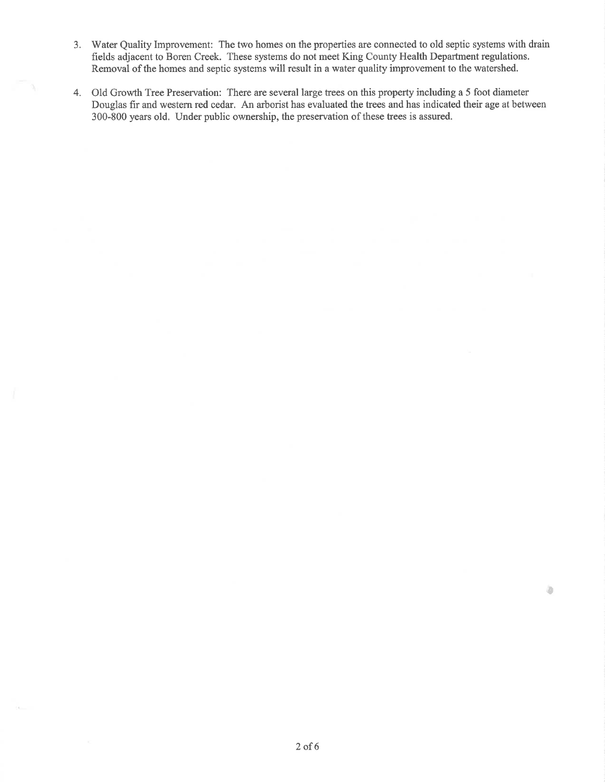- 3. Water Quality Improvement: The two homes on the properties are connected to old septic systems with drain fields adjacent to Boren Creek. These systems do not meet King County Health Department regulations. Removal of the homes and septic systems will result in a water quality improvement to the watershed.
- 4. Old Growth Tree Preservation: There are several large trees on this property including a 5 foot diameter Douglas fir and western red cedar. An arborist has evaluated the trees and has indicated their age at between 300-800 years old. Under public ownership, the preservation of these trees is assured.

o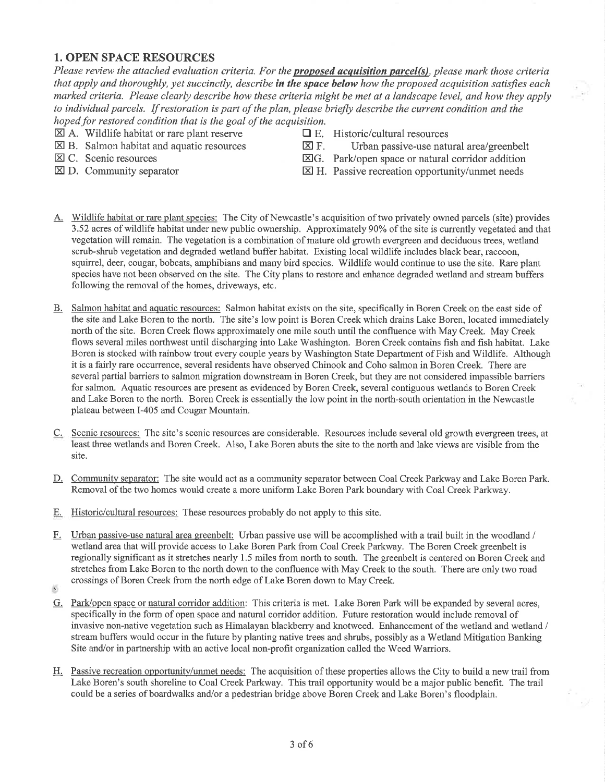#### 1. OPEN SPACE RESOURCES

Please review the attached evaluation criteria. For the **proposed acquisition parcel(s)**, please mark those criteria that apply and thoroughly, yet succinctly, describe in the space below how the proposed acquisition satisfies each marked criteriø. Please clearly describe how these criteria might be met at a landscape level, and how they apply to individual parcels. If restoration is part of the plan, please briefly describe the current condition and the hoped for restored condition that is the goal of the acquisition.

- $\boxtimes$  A. Wildlife habitat or rare plant reserve  $\Box$  E. Historic/cultural resources  $\boxtimes$  B. Salmon habitat and aquatic resources  $\boxtimes$  F. Urban passive-use natural area/greenbelt
- $\boxtimes$  B. Salmon habitat and aquatic resources  $\boxtimes$  C. Scenic resources
- 
- 
- 
- 
- $\boxtimes G$ . Park/open space or natural corridor addition
- $\boxtimes$  D. Community separator  $\boxtimes$  H. Passive recreation opportunity/unmet needs
- A. Wildlife habitat or rare plant species: The City of Newcastle's acquisition of two privately owned parcels (site) provides 3.52 acres of wildlife habitat under new public ownership. Approximately 90%o of the site is currently vegetated and that vegetation will remain. The vegetation is a combination of mature old growth evergreen and deciduous trees, wetland scrub-shrub vegetation and degraded wetland buffer habitat. Existing local wildlife includes black bear, raccoon, squirrel, deer, cougar, bobcats, amphibians and many bird species. Wildlife would continue to use the site. Rare plant species have not been observed on the site. The City plans to restore and enhance degraded wetland and stream buffers following the removal of the homes, driveways, etc.
- B. Salmon habitat and aquatic resources: Salmon habitat exists on the site, specifically in Boren Creek on the east side of the site and Lake Boren to the north. The site's low point is Boren Creek which drains Lake Boren, located immediately north of the site. Boren Creek flows approximately one mile south until the confluence with May Creek. May Creek flows several miles northwest until discharging into Lake Washington. Boren Creek contains fish and fish habitat. Lake Boren is stocked with rainbow trout every couple years by Washington State Department of Fish and Wildlife. Although it is a fairly rare occurrence, several residents have observed Chinook and Coho salmon in Boren Creek. There are several partial barriers to salmon migration downstream in Boren Creek, but they are not considered impassible barriers for salmon. Aquatic resources are present as evidenced by Boren Creek, several contiguous wetlands to Boren Creek and Lake Boren to the north. Boren Creek is essentially the low point in the north-south orientation in the Newcastle plateau between I-405 and Cougar Mountain.
- C. Scenic resources: The site's scenic resources are considerable. Resources include several old growth evergreen trees, at least three wetlands and Boren Creek. Also, Lake Boren abuts the site to the north and lake views are visible from the site.
- D. Community separator: The site would act as a community separator between Coal Creek Parkway and Lake Boren Park. Removal of the two homes would create a more uniform Lake Boren Park boundary with Coal Creek Parkway.
- E. Historic/cultural resources: These resources probably do not apply to this site.
- F. Urban passive-use natural area greenbelt: Urban passive use will be accomplished with a trail built in the woodland / wetland area that will provide access to Lake Boren Park from Coal Creek Parkway. The Boren Creek greenbelt is regionally significant as it stretches nearly l 5 miles from north to south. The greenbelt is centered on Boren Creek and stretches from Lake Boren to the north down to the confluence with May Creek to the south. There are only two road crossings of Boren Creek from the north edge of Lake Boren down to May Creek.
- .
- G. Park/open space or natural corridor addition: This criteria is met. Lake Boren Park will be expanded by several acres, specifically in the form of open space and natural corridor addition. Future restoration would include removal of invasive non-native vegetation such as Himalayan blackberry and knotweed. Enhancement of the wetland and wetland / stream buffers would occur in the future by planting native trees and shrubs, possibly as a Wetland Mitigation Banking Site and/or in partnership with an active local non-profit organization called the Weed Warriors.
- H. Passive recreation opportunity/unmet needs: The acquisition of these properties allows the City to build a new trail from Lake Boren's south shoreline to Coal Creek Parkway. This trail opportunity would be a major public benefit. The trail could be a series ofboardwalks and/or a pedestrian bridge above Boren Creek and Lake Boren's floodplain.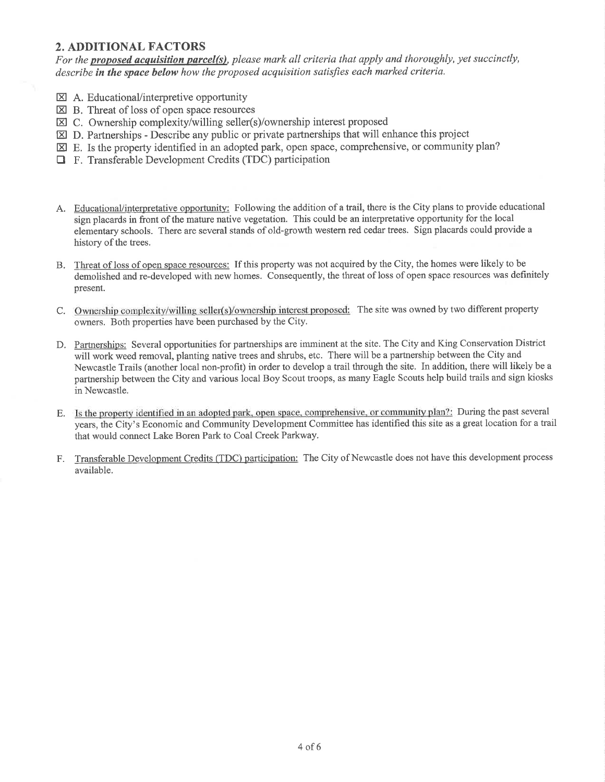### 2. ADDITIONAL FACTORS

For the **proposed acquisition parcel(s)**, please mark all criteria that apply and thoroughly, yet succinctly, describe in the space below how the proposed acquisition satisfies each marked criteria.

- **EX** A. Educational/interpretive opportunity
- $\boxtimes$  B. Threat of loss of open space resources
- EC. Ownership complexity/willing seller(s)/ownership interest proposed
- $\boxtimes$  D. Partnerships Describe any public or private partnerships that will enhance this project
- $\boxtimes$  E. Is the property identified in an adopted park, open space, comprehensive, or community plan?
- **EXECUTE:** Transferable Development Credits (TDC) participation
- A. Educational/interpretative opportunity: Following the addition of a trail, there is the City plans to provide educational sign placards in front of the mature native vegetation. This could be an interpretative opportunity for the local elementary schools. There are several stands of old-growth western red cedar trees. Sign placards could provide <sup>a</sup> history of the trees.
- B. Threat of loss of open space resources: If this property was not acquired by the City, the homes were likely to be demolished and re-developed with new homes. Consequently, the threat of loss of open space resources was definitely present.
- C. Ownership complexity/willing seller(s)/ownership interest proposed: The site was owned by two different property owners. Both properties have been purchased by the City.
- D. Partnerships: Several opportunities for partnerships are imminent at the site. The City and King Conservation District will work weed removal, planting native trees and shrubs, etc. There will be a partnership between the City and Newcastle Trails (another local non-profit) in order to develop a trail through the site. In addition, there will likely be <sup>a</sup> partnership between the City and various local Boy Scout troops, as many Eagle Scouts help build trails and sign kiosks in Newcastle.
- E. Is the property identified in an adopted park, open space, comprehensive, or community plan?: During the past several years, the City's Economic and Community Development Committee has identified this site as a great location for a trail that would connect Lake Boren Park to Coal Creek Parkway.
- F. Transferable Development Credits (TDC) participation: The City of Newcastle does not have this development process available.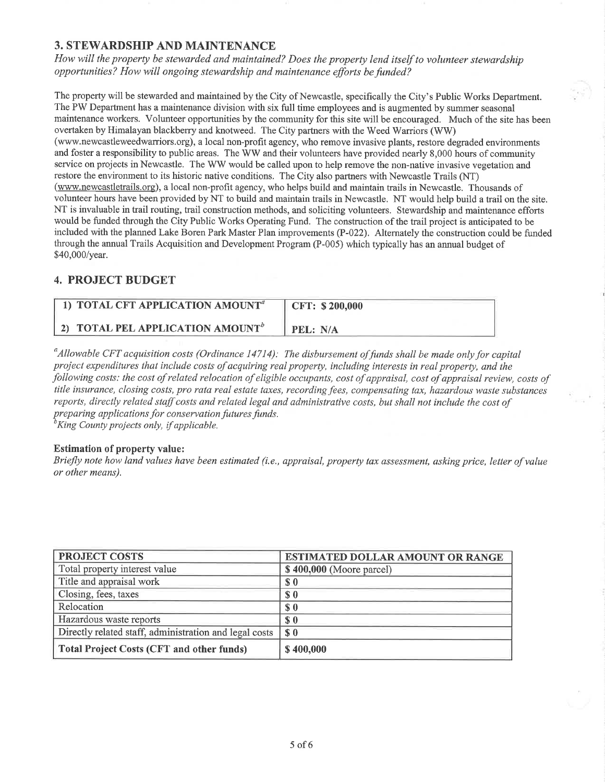#### 3. STEWARDSHIP AND MAINTENANCE

How will the property be stewarded and maintained? Does the property lend itself to volunteer stewardship opportunities? How will ongoing stewardship and maintenance efforts be funded?

The property will be stewarded and maintained by the City of Newcastle, specifically the City's Public Works Department. The PW Department has a maintenance division with six full time employees and is augmented by summer seasonal maintenance workers. Volunteer opportunities by the community for this site will be encouraged. Much of the site has been overtaken by Himalayan blackberry and knotweed. The City partners with the Weed Warriors (WW) (www.newcastleweedwarriors.org), a local non-profit agency, who remove invasive plants, restore degraded environments and foster a responsibility to public areas. The WW and their volunteers have provided nearly 8,000 hours of community service on projects in Newcastle. The WW would be called upon to help remove the non-native invasive vegetation and restore the environment to its historic native conditions. The City also partners with Newcastle Trails (NT) (www.newcastletrails.org), a local non-profit agency, who helps build and maintain trails in Newcastle. Thousands of volunteer hours have been provided by NT to build and maintain trails in Newcastle. NT would help build a trail on the site. NT is invaluable in trail routing, trail construction methods, and soliciting volunteers. Stewardship and maintenance efforts would be funded through the City Public Works Operating Fund. The construction of the trail project is anticipated to be included with the plarured Lake Boren Park Master Plan improvements (P-022). Alternately the construction could be funded through the annual Trails Acquisition and Development Program (P-005) which typically has an arurual budget of \$40,000/year.

### 4. PROJECT BUDGET

| 1) TOTAL CFT APPLICATION AMOUNT <sup><i>a</i></sup> | CFT: \$200,000 |
|-----------------------------------------------------|----------------|
| 2) TOTAL PEL APPLICATION AMOUNT <sup>b</sup>        | PEL: N/A       |

<sup>a</sup> Allowable CFT acquisition costs (Ordinance 14714): The disbursement of funds shall be made only for capital project expenditures that include costs of acquiring real property, including interests in real property, and the following costs: the cost of related relocation of eligible occupants, cost of appraisal, cost of appraisal review, costs of title insurance, closing costs, pro rata real estate taxes, recording fees, compensating tax, hazardous waste substances reports, directly related staff costs and related legal and administrative costs, but shall not include the cost of preparing applications for conservation futures funds.<br> ${}^{b}$ King County projects only, if applicable.

#### Estimation of property value:

Briefly note how land values have been estimated (i,e,, appraisal, property tax assessment, asking price, letter of value or other means).

| <b>PROJECT COSTS</b>                                   | ESTIMATED DOLLAR AMOUNT OR RANGE                 |
|--------------------------------------------------------|--------------------------------------------------|
| Total property interest value                          | \$400,000 (Moore parcel)                         |
| Title and appraisal work                               | S <sub>0</sub>                                   |
| Closing, fees, taxes                                   | S <sub>0</sub>                                   |
| Relocation                                             | $\boldsymbol{\mathsf{s}}\boldsymbol{\mathsf{0}}$ |
| Hazardous waste reports                                | \$0                                              |
| Directly related staff, administration and legal costs | \$0                                              |
| Total Project Costs (CFT and other funds)              | \$400,000                                        |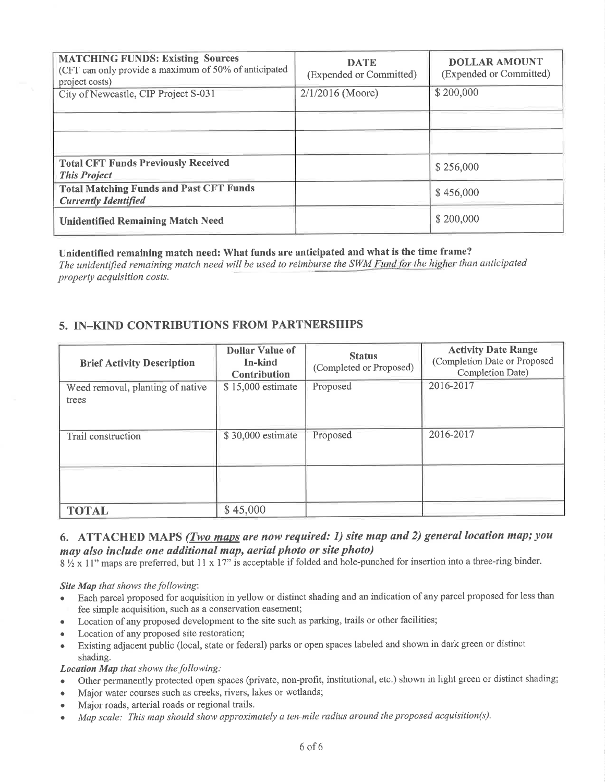| <b>MATCHING FUNDS: Existing Sources</b><br>(CFT can only provide a maximum of 50% of anticipated<br>project costs) | <b>DATE</b><br>(Expended or Committed) | <b>DOLLAR AMOUNT</b><br>(Expended or Committed) |
|--------------------------------------------------------------------------------------------------------------------|----------------------------------------|-------------------------------------------------|
| City of Newcastle, CIP Project S-031                                                                               | $2/1/2016$ (Moore)                     | \$200,000                                       |
|                                                                                                                    |                                        |                                                 |
|                                                                                                                    |                                        |                                                 |
| <b>Total CFT Funds Previously Received</b><br><b>This Project</b>                                                  |                                        | \$256,000                                       |
| <b>Total Matching Funds and Past CFT Funds</b><br><b>Currently Identified</b>                                      |                                        | \$456,000                                       |
| <b>Unidentified Remaining Match Need</b>                                                                           |                                        | \$200,000                                       |

#### Unidentified remaining match need: What funds are anticipated and what is the time frame?

The unidentified remaining match need will be used to reimburse the SWM Fund for the higher than anticipated property acquisition costs.

#### 5. IN-KIND CONTRIBUTIONS FROM PARTNERSHIPS

| <b>Brief Activity Description</b>         | <b>Dollar Value of</b><br>In-kind<br><b>Contribution</b> | <b>Status</b><br>(Completed or Proposed) | <b>Activity Date Range</b><br>(Completion Date or Proposed<br>Completion Date) |
|-------------------------------------------|----------------------------------------------------------|------------------------------------------|--------------------------------------------------------------------------------|
| Weed removal, planting of native<br>trees | \$15,000 estimate                                        | Proposed                                 | 2016-2017                                                                      |
| Trail construction                        | \$30,000 estimate                                        | Proposed                                 | 2016-2017                                                                      |
|                                           |                                                          |                                          |                                                                                |
| <b>TOTAL</b>                              | \$45,000                                                 |                                          |                                                                                |

### 6. ATTACHED MAPS (*Two maps are now required: 1) site map and 2) general location map; you* may also include one additional map, aerial photo or site photo)

8 1/2 x 11" maps are preferred, but 11 x 17" is acceptable if folded and hole-punched for insertion into a three-ring binder.

Site Map that shows the following:

- Each parcel proposed for acquisition in yellow or distinct shading and an indication of any parcel proposed for less than  $\bullet$ fee simple acquisition, such as a conservation easement;
- Location of any proposed development to the site such as parking, trails or other facilities;  $\bullet$
- Location of any proposed site restoration;  $\bullet$
- Existing adjacent public (local, state or federal) parks or open spaces labeled and shown in dark green or distinct  $\bullet$ shading.

Location Map that shows the following:

- Other permanently protected open spaces (private, non-profit, institutional, etc.) shown in light green or distinct shading;  $\bullet$
- Major water courses such as creeks, rivers, lakes or wetlands;  $\bullet$
- Major roads, arterial roads or regional trails.  $\bullet$
- Map scale: This map should show approximately a ten-mile radius around the proposed acquisition(s).  $\bullet$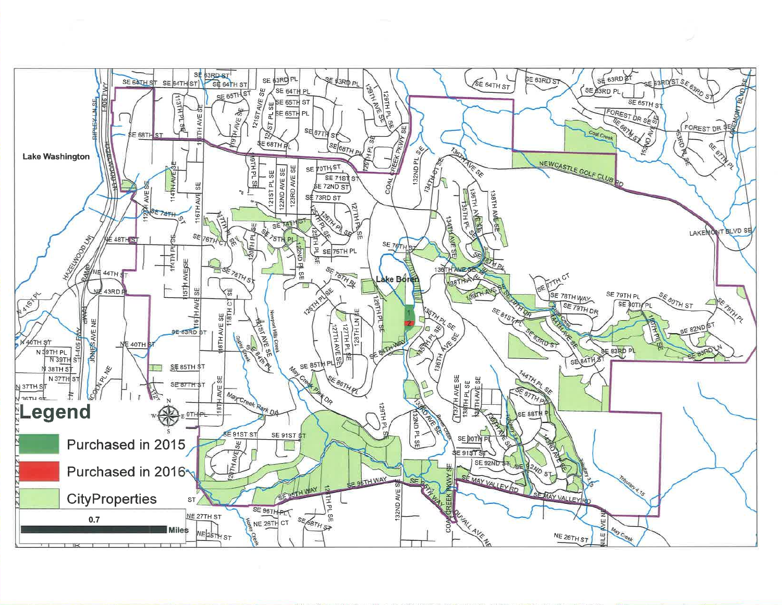